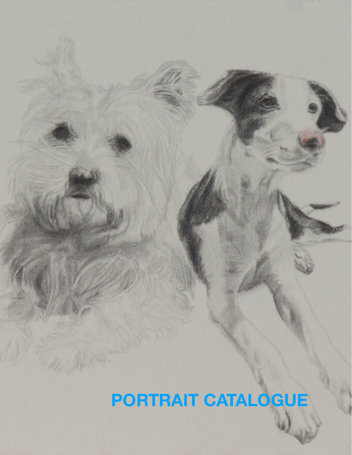# **PORTRAIT CATALOGUE**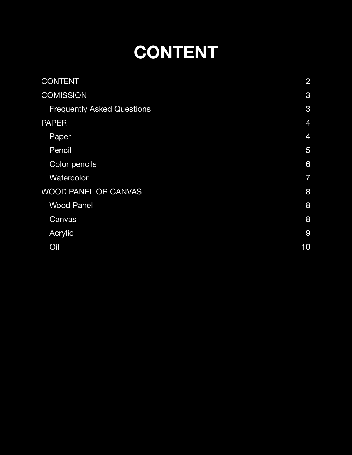# <span id="page-1-0"></span>**CONTENT**

| <b>CONTENT</b>                    | $\overline{2}$ |
|-----------------------------------|----------------|
| <b>COMISSION</b>                  | 3              |
| <b>Frequently Asked Questions</b> | 3              |
| <b>PAPER</b>                      | $\overline{4}$ |
| Paper                             | $\overline{4}$ |
| Pencil                            | 5              |
| Color pencils                     | 6              |
| Watercolor                        | $\overline{7}$ |
| <b>WOOD PANEL OR CANVAS</b>       | 8              |
| <b>Wood Panel</b>                 | 8              |
| Canvas                            | 8              |
| Acrylic                           | 9              |
| Oil                               | 10             |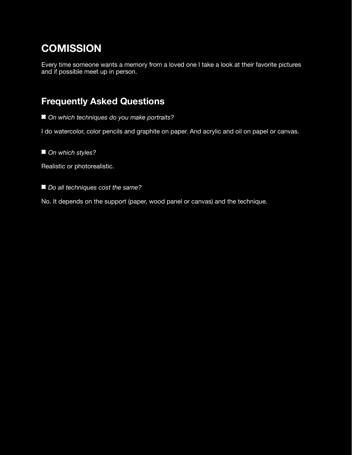## <span id="page-2-0"></span>**COMISSION**

Every time someone wants a memory from a loved one I take a look at their favorite pictures and if possible meet up in person.

### <span id="page-2-1"></span>**Frequently Asked Questions**

 *On which techniques do you make portraits?* 

I do watercolor, color pencils and graphite on paper. And acrylic and oil on papel or canvas.

*On which styles?*

Realistic or photorealistic.

*Do all techniques cost the same?* 

No. It depends on the support (paper, wood panel or canvas) and the technique.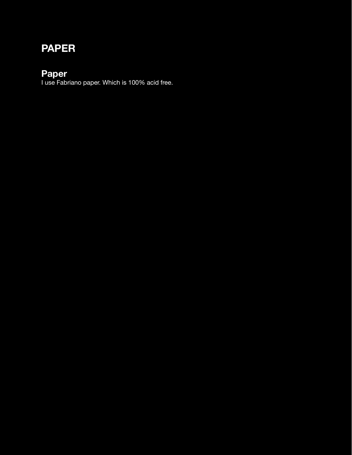## <span id="page-3-0"></span>**PAPER**

#### <span id="page-3-1"></span>**Paper**

I use Fabriano paper. Which is 100% acid free.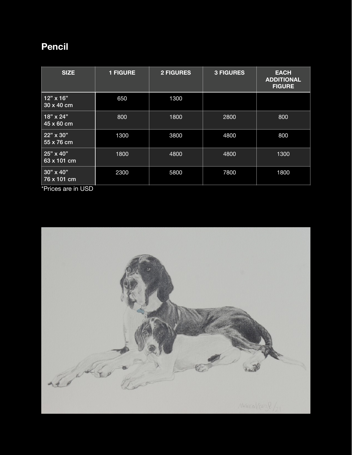### <span id="page-4-0"></span>**Pencil**

| <b>SIZE</b>                          | <b>1 FIGURE</b> | <b>2 FIGURES</b> | <b>3 FIGURES</b> | <b>EACH</b><br><b>ADDITIONAL</b><br><b>FIGURE</b> |
|--------------------------------------|-----------------|------------------|------------------|---------------------------------------------------|
| $12" \times 16"$<br>30 x 40 cm       | 650             | 1300             |                  |                                                   |
| $18" \times 24"$<br>45 x 60 cm       | 800             | 1800             | 2800             | 800                                               |
| 22" x 30"<br>55 x 76 cm              | 1300            | 3800             | 4800             | 800                                               |
| 25" x 40"<br>63 x 101 cm             | 1800            | 4800             | 4800             | 1300                                              |
| $30" \times 40"$<br>76 x 101 cm<br>. | 2300            | 5800             | 7800             | 1800                                              |

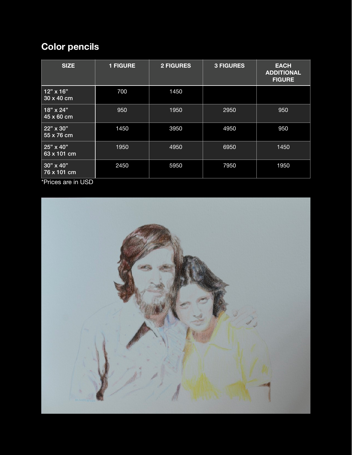# <span id="page-5-0"></span>**Color pencils**

| <b>SIZE</b>                                                  | <b>1 FIGURE</b> | <b>2 FIGURES</b> | <b>3 FIGURES</b> | <b>EACH</b><br><b>ADDITIONAL</b><br><b>FIGURE</b> |
|--------------------------------------------------------------|-----------------|------------------|------------------|---------------------------------------------------|
| $12" \times 16"$<br>30 x 40 cm                               | 700             | 1450             |                  |                                                   |
| $18" \times 24"$<br>45 x 60 cm                               | 950             | 1950             | 2950             | 950                                               |
| 22" x 30"<br>55 x 76 cm                                      | 1450            | 3950             | 4950             | 950                                               |
| 25" x 40"<br>63 x 101 cm                                     | 1950            | 4950             | 6950             | 1450                                              |
| 30" x 40"<br>76 x 101 cm<br>$\sim$ $\sim$ $\sim$ $\sim$<br>. | 2450            | 5950             | 7950             | 1950                                              |

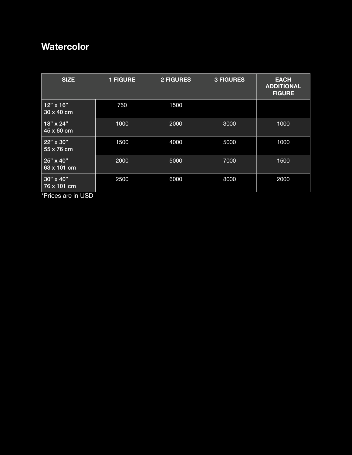### <span id="page-6-0"></span>**Watercolor**

| <b>SIZE</b>                     | <b>1 FIGURE</b> | <b>2 FIGURES</b> | <b>3 FIGURES</b> | <b>EACH</b><br><b>ADDITIONAL</b><br><b>FIGURE</b> |
|---------------------------------|-----------------|------------------|------------------|---------------------------------------------------|
| $12" \times 16"$<br>30 x 40 cm  | 750             | 1500             |                  |                                                   |
| 18" x 24"<br>45 x 60 cm         | 1000            | 2000             | 3000             | 1000                                              |
| 22" x 30"<br>55 x 76 cm         | 1500            | 4000             | 5000             | 1000                                              |
| 25" x 40"<br>63 x 101 cm        | 2000            | 5000             | 7000             | 1500                                              |
| $30" \times 40"$<br>76 x 101 cm | 2500            | 6000             | 8000             | 2000                                              |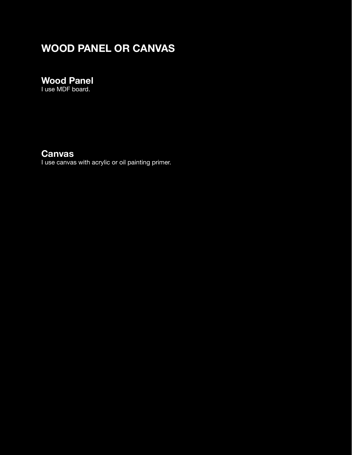# <span id="page-7-0"></span>**WOOD PANEL OR CANVAS**

### <span id="page-7-1"></span>**Wood Panel**

I use MDF board.

### <span id="page-7-2"></span>**Canvas**

I use canvas with acrylic or oil painting primer.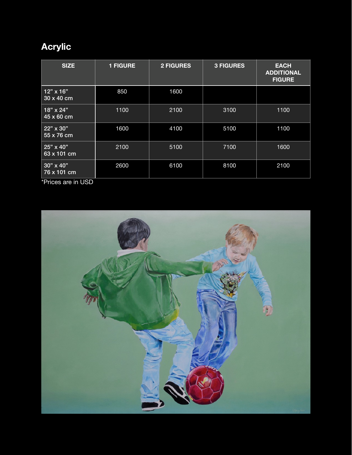# <span id="page-8-0"></span>**Acrylic**

| <b>SIZE</b>                     | <b>1 FIGURE</b> | <b>2 FIGURES</b> | <b>3 FIGURES</b> | <b>EACH</b><br><b>ADDITIONAL</b><br><b>FIGURE</b> |
|---------------------------------|-----------------|------------------|------------------|---------------------------------------------------|
| $12" \times 16"$<br>30 x 40 cm  | 850             | 1600             |                  |                                                   |
| 18" x 24"<br>45 x 60 cm         | 1100            | 2100             | 3100             | 1100                                              |
| 22" x 30"<br>55 x 76 cm         | 1600            | 4100             | 5100             | 1100                                              |
| 25" x 40"<br>63 x 101 cm        | 2100            | 5100             | 7100             | 1600                                              |
| $30" \times 40"$<br>76 x 101 cm | 2600            | 6100             | 8100             | 2100                                              |